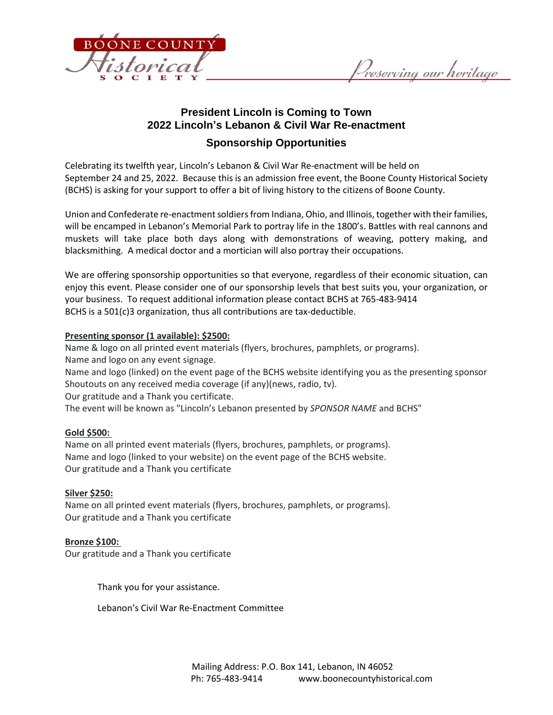

reserving our heritage

# **President Lincoln is Coming to Town 2022 Lincoln's Lebanon & Civil War Re-enactment**

### **Sponsorship Opportunities**

Celebrating its twelfth year, Lincoln's Lebanon & Civil War Re-enactment will be held on September 24 and 25, 2022. Because this is an admission free event, the Boone County Historical Society (BCHS) is asking for your support to offer a bit of living history to the citizens of Boone County.

Union and Confederate re-enactment soldiers from Indiana, Ohio, and Illinois, together with their families, will be encamped in Lebanon's Memorial Park to portray life in the 1800's. Battles with real cannons and muskets will take place both days along with demonstrations of weaving, pottery making, and blacksmithing. A medical doctor and a mortician will also portray their occupations.

We are offering sponsorship opportunities so that everyone, regardless of their economic situation, can enjoy this event. Please consider one of our sponsorship levels that best suits you, your organization, or your business. To request additional information please contact BCHS at 765-483-9414 BCHS is a 501(c)3 organization, thus all contributions are tax-deductible.

#### **Presenting sponsor (1 available): \$2500:**

Name & logo on all printed event materials (flyers, brochures, pamphlets, or programs). Name and logo on any event signage.

Name and logo (linked) on the event page of the BCHS website identifying you as the presenting sponsor Shoutouts on any received media coverage (if any)(news, radio, tv).

Our gratitude and a Thank you certificate.

The event will be known as "Lincoln's Lebanon presented by *SPONSOR NAME* and BCHS"

#### **Gold \$500:**

Name on all printed event materials (flyers, brochures, pamphlets, or programs). Name and logo (linked to your website) on the event page of the BCHS website. Our gratitude and a Thank you certificate

#### **Silver \$250:**

Name on all printed event materials (flyers, brochures, pamphlets, or programs). Our gratitude and a Thank you certificate

#### **Bronze \$100:**

Our gratitude and a Thank you certificate

Thank you for your assistance.

Lebanon's Civil War Re-Enactment Committee